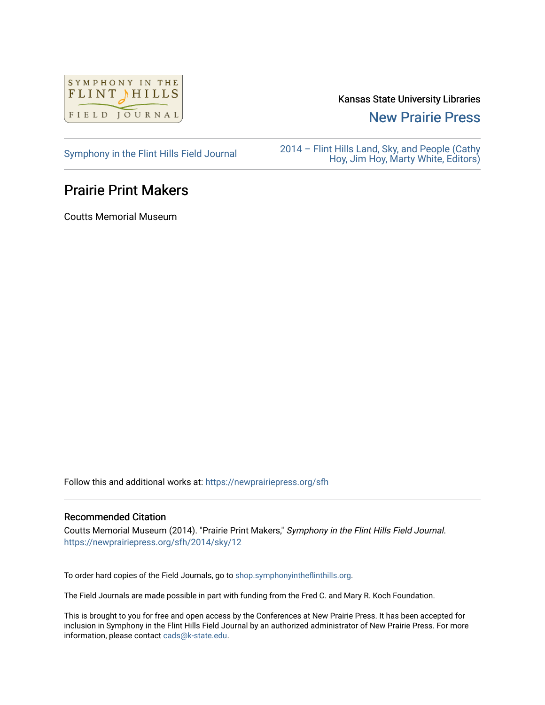

Kansas State University Libraries

[New Prairie Press](https://newprairiepress.org/) 

[Symphony in the Flint Hills Field Journal](https://newprairiepress.org/sfh) 2014 – Flint Hills Land, Sky, and People (Cathy [Hoy, Jim Hoy, Marty White, Editors\)](https://newprairiepress.org/sfh/2014) 

## Prairie Print Makers

Coutts Memorial Museum

Follow this and additional works at: [https://newprairiepress.org/sfh](https://newprairiepress.org/sfh?utm_source=newprairiepress.org%2Fsfh%2F2014%2Fsky%2F12&utm_medium=PDF&utm_campaign=PDFCoverPages)

## Recommended Citation

Coutts Memorial Museum (2014). "Prairie Print Makers," Symphony in the Flint Hills Field Journal. <https://newprairiepress.org/sfh/2014/sky/12>

To order hard copies of the Field Journals, go to [shop.symphonyintheflinthills.org.](http://shop.symphonyintheflinthills.org/)

The Field Journals are made possible in part with funding from the Fred C. and Mary R. Koch Foundation.

This is brought to you for free and open access by the Conferences at New Prairie Press. It has been accepted for inclusion in Symphony in the Flint Hills Field Journal by an authorized administrator of New Prairie Press. For more information, please contact [cads@k-state.edu](mailto:cads@k-state.edu).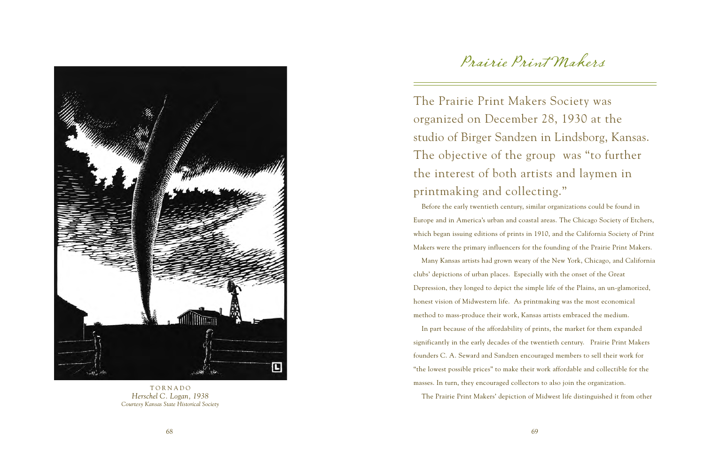

**TORNADO** *Herschel C. Logan, 1938 Courtesy Kansas State Historical Society*

## Prairie Print Makers

The Prairie Print Makers Society was organized on December 28, 1930 at the studio of Birger Sandzen in Lindsborg, Kansas. The objective of the group was "to further the interest of both artists and laymen in printmaking and collecting."

Before the early twentieth century, similar organizations could be found in Europe and in America's urban and coastal areas. The Chicago Society of Etchers, which began issuing editions of prints in 1910, and the California Society of Print Makers were the primary influencers for the founding of the Prairie Print Makers.

Many Kansas artists had grown weary of the New York, Chicago, and California clubs' depictions of urban places. Especially with the onset of the Great Depression, they longed to depict the simple life of the Plains, an un-glamorized, honest vision of Midwestern life. As printmaking was the most economical method to mass-produce their work, Kansas artists embraced the medium.

In part because of the affordability of prints, the market for them expanded significantly in the early decades of the twentieth century. Prairie Print Makers founders C. A. Seward and Sandzen encouraged members to sell their work for "the lowest possible prices" to make their work affordable and collectible for the masses. In turn, they encouraged collectors to also join the organization.

The Prairie Print Makers' depiction of Midwest life distinguished it from other